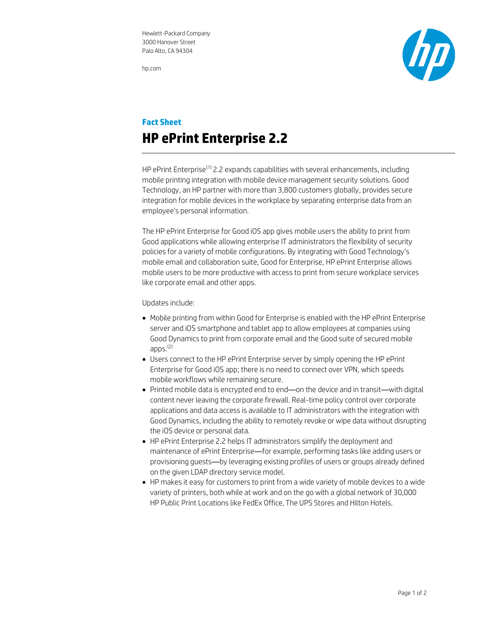hp.com



## **Fact Sheet HP ePrint Enterprise 2.2**

HP ePrint Enterprise<sup>(1)</sup> 2.2 expands capabilities with several enhancements, including mobile printing integration with mobile device management security solutions. Good Technology, an HP partner with more than 3,800 customers globally, provides secure integration for mobile devices in the workplace by separating enterprise data from an employee's personal information.

The HP ePrint Enterprise for Good iOS app gives mobile users the ability to print from Good applications while allowing enterprise IT administrators the flexibility of security policies for a variety of mobile configurations. By integrating with Good Technology's mobile email and collaboration suite, Good for Enterprise, HP ePrint Enterprise allows mobile users to be more productive with access to print from secure workplace services like corporate email and other apps.

Updates include:

- Mobile printing from within Good for Enterprise is enabled with the HP ePrint Enterprise server and iOS smartphone and tablet app to allow employees at companies using Good Dynamics to print from corporate email and the Good suite of secured mobile apps. (2)
- Users connect to the HP ePrint Enterprise server by simply opening the HP ePrint Enterprise for Good iOS app; there is no need to connect over VPN, which speeds mobile workflows while remaining secure.
- Printed mobile data is encrypted end to end—on the device and in transit—with digital content never leaving the corporate firewall. Real-time policy control over corporate applications and data access is available to IT administrators with the integration with Good Dynamics, including the ability to remotely revoke or wipe data without disrupting the iOS device or personal data.
- HP ePrint Enterprise 2.2 helps IT administrators simplify the deployment and maintenance of ePrint Enterprise—for example, performing tasks like adding users or provisioning guests—by leveraging existing profiles of users or groups already defined on the given LDAP directory service model.
- HP makes it easy for customers to print from a wide variety of mobile devices to a wide variety of printers, both while at work and on the go with a global network of 30,000 HP Public Print Locations like FedEx Office, The UPS Stores and Hilton Hotels.